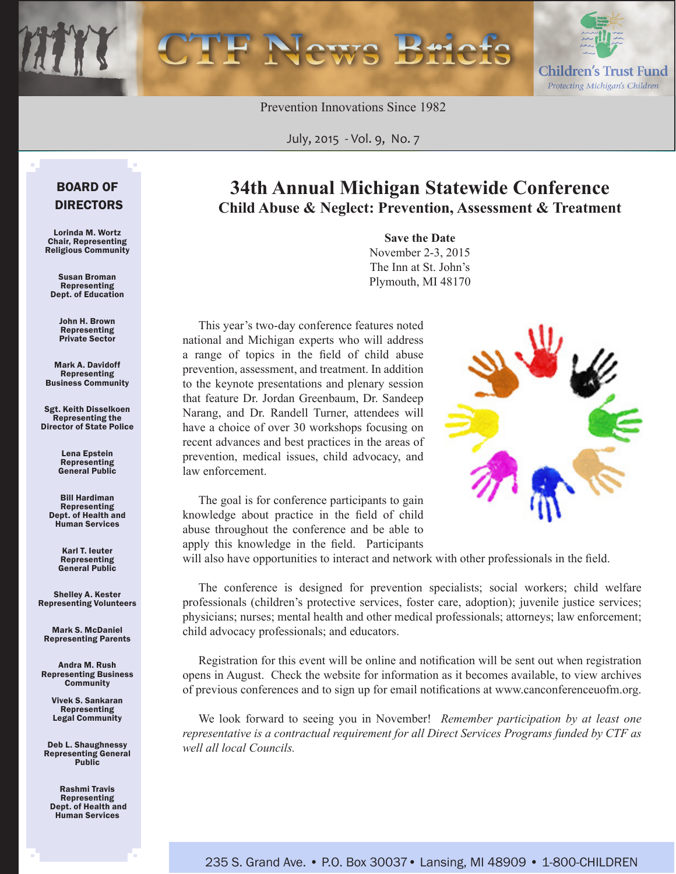Prevention Innovations Since 1982

July, 2015 *-* Vol. 9, No. 7

### BOARD OF DIRECTORS

Lorinda M. Wortz Chair, Representing Religious Community

Susan Broman Representing Dept. of Education

John H. Brown Representing Private Sector

Mark A. Davidoff Representing Business Community

Sgt. Keith Disselkoen Representing the Director of State Police

> Lena Epstein Representing General Public

Bill Hardiman Representing Dept. of Health and Human Services

> Karl T. Ieuter Representing General Public

Shelley A. Kester Representing Volunteers

Mark S. McDaniel Representing Parents

Andra M. Rush Representing Business **Community** 

> Vivek S. Sankaran Representing Legal Community

Deb L. Shaughnessy Representing General Public

Rashmi Travis Representing Dept. of Health and Human Services

### **34th Annual Michigan Statewide Conference Child Abuse & Neglect: Prevention, Assessment & Treatment**

**Save the Date** November 2-3, 2015 The Inn at St. John's Plymouth, MI 48170

This year's two-day conference features noted national and Michigan experts who will address a range of topics in the field of child abuse prevention, assessment, and treatment. In addition to the keynote presentations and plenary session that feature Dr. Jordan Greenbaum, Dr. Sandeep Narang, and Dr. Randell Turner, attendees will have a choice of over 30 workshops focusing on recent advances and best practices in the areas of prevention, medical issues, child advocacy, and law enforcement.

The goal is for conference participants to gain knowledge about practice in the field of child abuse throughout the conference and be able to apply this knowledge in the field. Participants

will also have opportunities to interact and network with other professionals in the field.

The conference is designed for prevention specialists; social workers; child welfare professionals (children's protective services, foster care, adoption); juvenile justice services; physicians; nurses; mental health and other medical professionals; attorneys; law enforcement; child advocacy professionals; and educators.

Registration for this event will be online and notification will be sent out when registration opens in August. Check the website for information as it becomes available, to view archives of previous conferences and to sign up for email notifications at www.canconferenceuofm.org.

We look forward to seeing you in November! *Remember participation by at least one representative is a contractual requirement for all Direct Services Programs funded by CTF as well all local Councils.*



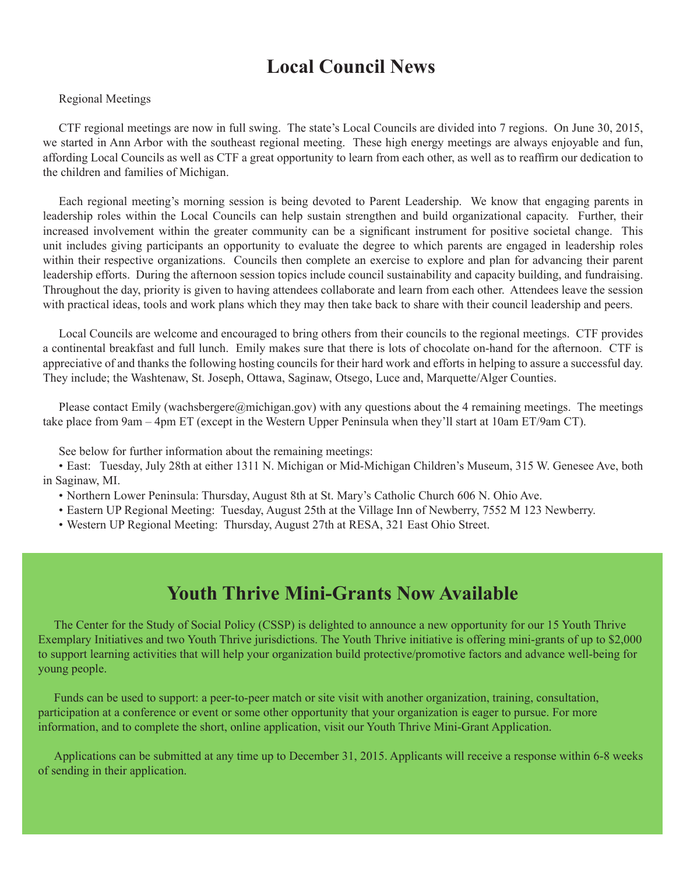# **Local Council News**

### Regional Meetings

CTF regional meetings are now in full swing. The state's Local Councils are divided into 7 regions. On June 30, 2015, we started in Ann Arbor with the southeast regional meeting. These high energy meetings are always enjoyable and fun, affording Local Councils as well as CTF a great opportunity to learn from each other, as well as to reaffirm our dedication to the children and families of Michigan.

Each regional meeting's morning session is being devoted to Parent Leadership. We know that engaging parents in leadership roles within the Local Councils can help sustain strengthen and build organizational capacity. Further, their increased involvement within the greater community can be a significant instrument for positive societal change. This unit includes giving participants an opportunity to evaluate the degree to which parents are engaged in leadership roles within their respective organizations. Councils then complete an exercise to explore and plan for advancing their parent leadership efforts. During the afternoon session topics include council sustainability and capacity building, and fundraising. Throughout the day, priority is given to having attendees collaborate and learn from each other. Attendees leave the session with practical ideas, tools and work plans which they may then take back to share with their council leadership and peers.

Local Councils are welcome and encouraged to bring others from their councils to the regional meetings. CTF provides a continental breakfast and full lunch. Emily makes sure that there is lots of chocolate on-hand for the afternoon. CTF is appreciative of and thanks the following hosting councils for their hard work and efforts in helping to assure a successful day. They include; the Washtenaw, St. Joseph, Ottawa, Saginaw, Otsego, Luce and, Marquette/Alger Counties.

Please contact Emily (wachsbergere@michigan.gov) with any questions about the 4 remaining meetings. The meetings take place from 9am – 4pm ET (except in the Western Upper Peninsula when they'll start at 10am ET/9am CT).

See below for further information about the remaining meetings:

• East: Tuesday, July 28th at either 1311 N. Michigan or Mid-Michigan Children's Museum, 315 W. Genesee Ave, both in Saginaw, MI.

• Northern Lower Peninsula: Thursday, August 8th at St. Mary's Catholic Church 606 N. Ohio Ave.

• Eastern UP Regional Meeting: Tuesday, August 25th at the Village Inn of Newberry, 7552 M 123 Newberry.

• Western UP Regional Meeting: Thursday, August 27th at RESA, 321 East Ohio Street.

# **Youth Thrive Mini-Grants Now Available**

The Center for the Study of Social Policy (CSSP) is delighted to announce a new opportunity for our 15 Youth Thrive Exemplary Initiatives and two Youth Thrive jurisdictions. The Youth Thrive initiative is offering mini-grants of up to \$2,000 to support learning activities that will help your organization build [protective/promotive factors](http://www.cssp.org/reform/child-welfare/youth-thrive/Youth-Thrive-PPF-definitions.pdf) and advance well-being for young people.

Funds can be used to support: a peer-to-peer match or site visit with another organization, training, consultation, participation at a conference or event or some other opportunity that your organization is eager to pursue. For more information, and to complete the short, online application, visit our [Youth Thrive Mini-Grant Application.](https://www.surveymonkey.com/s/YTMiniGrantApplication)

Applications can be submitted at any time up to December 31, 2015. Applicants will receive a response within 6-8 weeks of sending in their application.